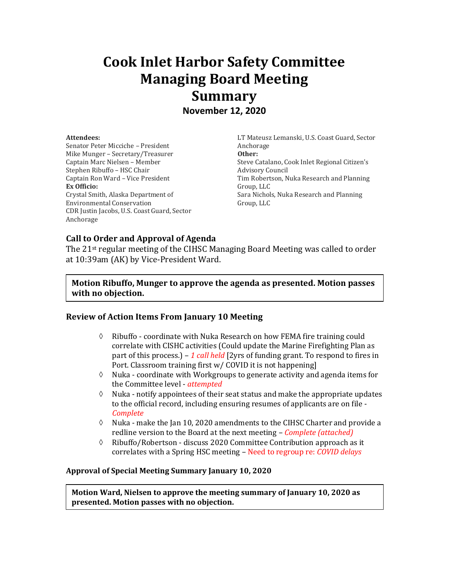# **Cook Inlet Harbor Safety Committee Managing Board Meeting Summary November 12, 2020**

#### **Attendees:**

Senator Peter Micciche – President Mike Munger – Secretary/Treasurer Captain Marc Nielsen – Member Stephen Ribuffo – HSC Chair Captain Ron Ward – Vice President **Ex Officio:** Crystal Smith, Alaska Department of Environmental Conservation CDR Justin Jacobs, U.S. Coast Guard, Sector Anchorage

LT Mateusz Lemanski, U.S. Coast Guard, Sector Anchorage **Other:** Steve Catalano, Cook Inlet Regional Citizen's Advisory Council Tim Robertson, Nuka Research and Planning Group, LLC Sara Nichols, Nuka Research and Planning Group, LLC

# **Call to Order and Approval of Agenda**

The 21st regular meeting of the CIHSC Managing Board Meeting was called to order at 10:39am (AK) by Vice-President Ward.

# **Motion Ribuffo, Munger to approve the agenda as presented. Motion passes with no objection.**

# **Review of Action Items From January 10 Meeting**

- $\Diamond$  Ribuffo coordinate with Nuka Research on how FEMA fire training could correlate with CISHC activities (Could update the Marine Firefighting Plan as part of this process.) – *1 call held* [2yrs of funding grant. To respond to fires in Port. Classroom training first w/ COVID it is not happening]
- $\Diamond$  Nuka coordinate with Workgroups to generate activity and agenda items for the Committee level - *attempted*
- $\Diamond$  Nuka notify appointees of their seat status and make the appropriate updates to the official record, including ensuring resumes of applicants are on file - *Complete*
- $\Diamond$  Nuka make the Jan 10, 2020 amendments to the CIHSC Charter and provide a redline version to the Board at the next meeting – *Complete (attached)*
- $\Diamond$  Ribuffo/Robertson discuss 2020 Committee Contribution approach as it correlates with a Spring HSC meeting – Need to regroup re: *COVID delays*

# **Approval of Special Meeting Summary January 10, 2020**

**Motion Ward, Nielsen to approve the meeting summary of January 10, 2020 as presented. Motion passes with no objection.**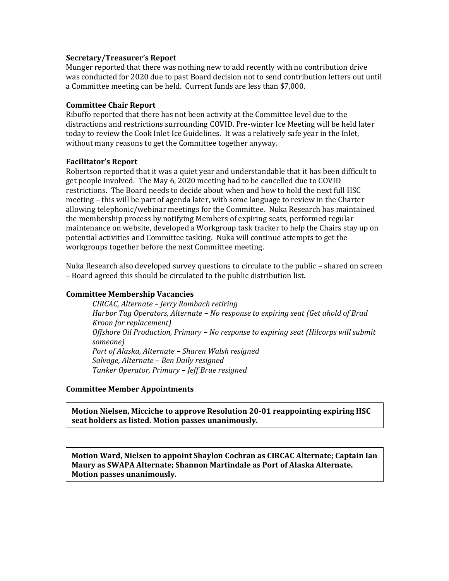# **Secretary/Treasurer's Report**

Munger reported that there was nothing new to add recently with no contribution drive was conducted for 2020 due to past Board decision not to send contribution letters out until a Committee meeting can be held. Current funds are less than \$7,000.

## **Committee Chair Report**

Ribuffo reported that there has not been activity at the Committee level due to the distractions and restrictions surrounding COVID. Pre-winter Ice Meeting will be held later today to review the Cook Inlet Ice Guidelines. It was a relatively safe year in the Inlet, without many reasons to get the Committee together anyway.

#### **Facilitator's Report**

Robertson reported that it was a quiet year and understandable that it has been difficult to get people involved. The May 6, 2020 meeting had to be cancelled due to COVID restrictions. The Board needs to decide about when and how to hold the next full HSC meeting – this will be part of agenda later, with some language to review in the Charter allowing telephonic/webinar meetings for the Committee. Nuka Research has maintained the membership process by notifying Members of expiring seats, performed regular maintenance on website, developed a Workgroup task tracker to help the Chairs stay up on potential activities and Committee tasking. Nuka will continue attempts to get the workgroups together before the next Committee meeting.

Nuka Research also developed survey questions to circulate to the public – shared on screen – Board agreed this should be circulated to the public distribution list.

# **Committee Membership Vacancies**

*CIRCAC, Alternate – Jerry Rombach retiring Harbor Tug Operators, Alternate – No response to expiring seat (Get ahold of Brad Kroon for replacement) Offshore Oil Production, Primary – No response to expiring seat (Hilcorps will submit someone) Port of Alaska, Alternate – Sharen Walsh resigned Salvage, Alternate – Ben Daily resigned Tanker Operator, Primary – Jeff Brue resigned* 

#### **Committee Member Appointments**

**Motion Nielsen, Micciche to approve Resolution 20-01 reappointing expiring HSC seat holders as listed. Motion passes unanimously.**

**Motion Ward, Nielsen to appoint Shaylon Cochran as CIRCAC Alternate; Captain Ian Maury as SWAPA Alternate; Shannon Martindale as Port of Alaska Alternate. Motion passes unanimously.**